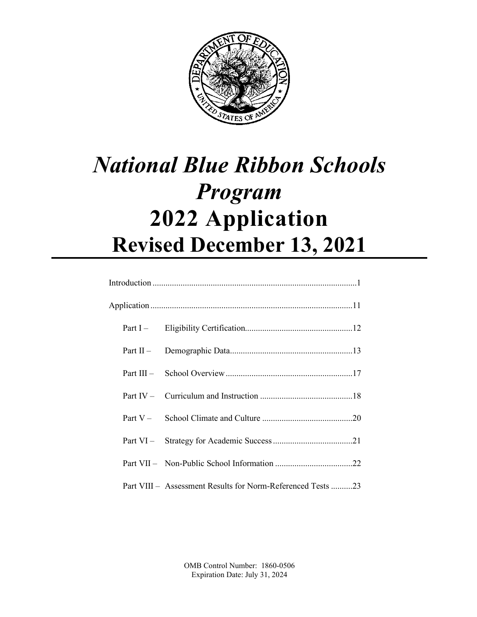

# *National Blue Ribbon Schools Program* **2022 Application Revised December 13, 2021**

| Part VIII – Assessment Results for Norm-Referenced Tests 23 |
|-------------------------------------------------------------|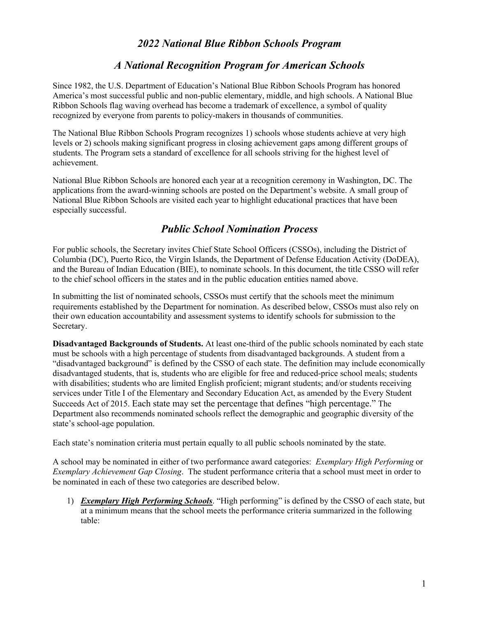# *2022 National Blue Ribbon Schools Program*

# *A National Recognition Program for American Schools*

Since 1982, the U.S. Department of Education's National Blue Ribbon Schools Program has honored America's most successful public and non-public elementary, middle, and high schools. A National Blue Ribbon Schools flag waving overhead has become a trademark of excellence, a symbol of quality recognized by everyone from parents to policy-makers in thousands of communities.

The National Blue Ribbon Schools Program recognizes 1) schools whose students achieve at very high levels or 2) schools making significant progress in closing achievement gaps among different groups of students. The Program sets a standard of excellence for all schools striving for the highest level of achievement.

National Blue Ribbon Schools are honored each year at a recognition ceremony in Washington, DC. The applications from the award-winning schools are posted on the Department's website. A small group of National Blue Ribbon Schools are visited each year to highlight educational practices that have been especially successful.

# *Public School Nomination Process*

For public schools, the Secretary invites Chief State School Officers (CSSOs), including the District of Columbia (DC), Puerto Rico, the Virgin Islands, the Department of Defense Education Activity (DoDEA), and the Bureau of Indian Education (BIE), to nominate schools. In this document, the title CSSO will refer to the chief school officers in the states and in the public education entities named above.

In submitting the list of nominated schools, CSSOs must certify that the schools meet the minimum requirements established by the Department for nomination. As described below, CSSOs must also rely on their own education accountability and assessment systems to identify schools for submission to the Secretary.

**Disadvantaged Backgrounds of Students.** At least one-third of the public schools nominated by each state must be schools with a high percentage of students from disadvantaged backgrounds. A student from a "disadvantaged background" is defined by the CSSO of each state. The definition may include economically disadvantaged students, that is, students who are eligible for free and reduced-price school meals; students with disabilities; students who are limited English proficient; migrant students; and/or students receiving services under Title I of the Elementary and Secondary Education Act, as amended by the Every Student Succeeds Act of 2015. Each state may set the percentage that defines "high percentage." The Department also recommends nominated schools reflect the demographic and geographic diversity of the state's school-age population.

Each state's nomination criteria must pertain equally to all public schools nominated by the state.

A school may be nominated in either of two performance award categories: *Exemplary High Performing* or *Exemplary Achievement Gap Closing*. The student performance criteria that a school must meet in order to be nominated in each of these two categories are described below.

1) *Exemplary High Performing Schools*. "High performing" is defined by the CSSO of each state, but at a minimum means that the school meets the performance criteria summarized in the following table: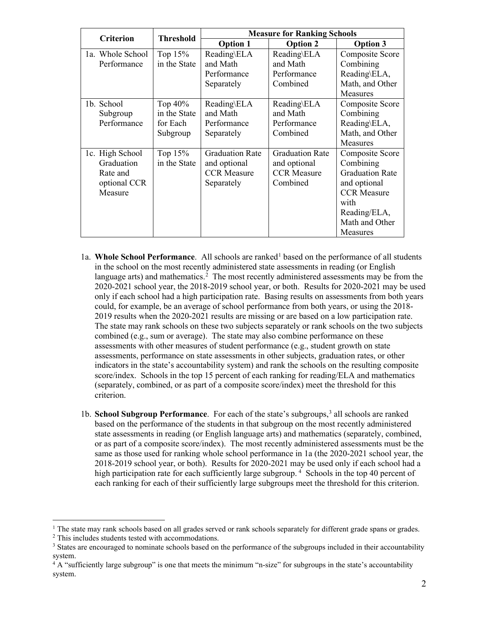| <b>Criterion</b> | <b>Threshold</b> | <b>Measure for Ranking Schools</b> |                        |                        |
|------------------|------------------|------------------------------------|------------------------|------------------------|
|                  |                  | <b>Option 1</b>                    | <b>Option 2</b>        | <b>Option 3</b>        |
| 1a. Whole School | Top $15%$        | Reading\ELA                        | Reading\ELA            | Composite Score        |
| Performance      | in the State     | and Math                           | and Math               | Combining              |
|                  |                  | Performance                        | Performance            | Reading\ELA,           |
|                  |                  | Separately                         | Combined               | Math, and Other        |
|                  |                  |                                    |                        | <b>Measures</b>        |
| 1b. School       | Top $40\%$       | Reading\ELA                        | Reading\ELA            | Composite Score        |
| Subgroup         | in the State     | and Math                           | and Math               | Combining              |
| Performance      | for Each         | Performance                        | Performance            | Reading\ELA,           |
|                  | Subgroup         | Separately                         | Combined               | Math, and Other        |
|                  |                  |                                    |                        | <b>Measures</b>        |
| 1c. High School  | Top $15%$        | <b>Graduation Rate</b>             | <b>Graduation Rate</b> | Composite Score        |
| Graduation       | in the State     | and optional                       | and optional           | Combining              |
| Rate and         |                  | <b>CCR</b> Measure                 | <b>CCR</b> Measure     | <b>Graduation Rate</b> |
| optional CCR     |                  | Separately                         | Combined               | and optional           |
| Measure          |                  |                                    |                        | <b>CCR</b> Measure     |
|                  |                  |                                    |                        | with                   |
|                  |                  |                                    |                        | Reading/ELA,           |
|                  |                  |                                    |                        | Math and Other         |
|                  |                  |                                    |                        | Measures               |

- 1a. Whole School Performance. All schools are ranked<sup>1</sup> based on the performance of all students in the school on the most recently administered state assessments in reading (or English language arts) and mathematics.<sup>[2](#page-2-1)</sup> The most recently administered assessments may be from the 2020-2021 school year, the 2018-2019 school year, or both. Results for 2020-2021 may be used only if each school had a high participation rate. Basing results on assessments from both years could, for example, be an average of school performance from both years, or using the 2018- 2019 results when the 2020-2021 results are missing or are based on a low participation rate. The state may rank schools on these two subjects separately or rank schools on the two subjects combined (e.g., sum or average). The state may also combine performance on these assessments with other measures of student performance (e.g., student growth on state assessments, performance on state assessments in other subjects, graduation rates, or other indicators in the state's accountability system) and rank the schools on the resulting composite score/index. Schools in the top 15 percent of each ranking for reading/ELA and mathematics (separately, combined, or as part of a composite score/index) meet the threshold for this criterion.
- 1b. **School Subgroup Performance**. For each of the state's subgroups,<sup>3</sup> all schools are ranked based on the performance of the students in that subgroup on the most recently administered state assessments in reading (or English language arts) and mathematics (separately, combined, or as part of a composite score/index). The most recently administered assessments must be the same as those used for ranking whole school performance in 1a (the 2020-2021 school year, the 2018-2019 school year, or both). Results for 2020-2021 may be used only if each school had a high participation rate for each sufficiently large subgroup.<sup>[4](#page-2-3)</sup> Schools in the top 40 percent of each ranking for each of their sufficiently large subgroups meet the threshold for this criterion.

<span id="page-2-0"></span><sup>&</sup>lt;sup>1</sup> The state may rank schools based on all grades served or rank schools separately for different grade spans or grades.

<span id="page-2-1"></span><sup>2</sup> This includes students tested with accommodations.

<span id="page-2-2"></span><sup>&</sup>lt;sup>3</sup> States are encouraged to nominate schools based on the performance of the subgroups included in their accountability system.

<span id="page-2-3"></span> $4\overline{A}$  "sufficiently large subgroup" is one that meets the minimum "n-size" for subgroups in the state's accountability system.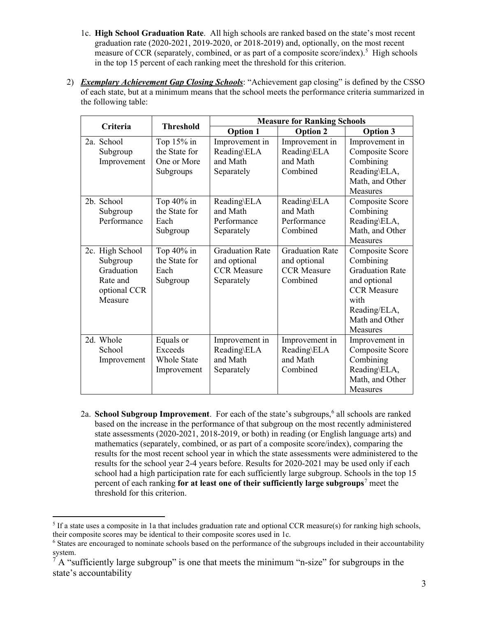- 1c. **High School Graduation Rate**. All high schools are ranked based on the state's most recent graduation rate (2020-2021, 2019-2020, or 2018-2019) and, optionally, on the most recent measure of CCR (separately, combined, or as part of a composite score/index).<sup>[5](#page-3-0)</sup> High schools in the top 15 percent of each ranking meet the threshold for this criterion.
- 2) *Exemplary Achievement Gap Closing Schools*: "Achievement gap closing" is defined by the CSSO of each state, but at a minimum means that the school meets the performance criteria summarized in the following table:

| Criteria                                                                         | <b>Threshold</b>                                          | <b>Measure for Ranking Schools</b>                                         |                                                                          |                                                                                                                                                           |
|----------------------------------------------------------------------------------|-----------------------------------------------------------|----------------------------------------------------------------------------|--------------------------------------------------------------------------|-----------------------------------------------------------------------------------------------------------------------------------------------------------|
|                                                                                  |                                                           | <b>Option 1</b>                                                            | <b>Option 2</b>                                                          | <b>Option 3</b>                                                                                                                                           |
| 2a. School<br>Subgroup<br>Improvement                                            | Top 15% in<br>the State for<br>One or More<br>Subgroups   | Improvement in<br>Reading\ELA<br>and Math<br>Separately                    | Improvement in<br>Reading\ELA<br>and Math<br>Combined                    | Improvement in<br>Composite Score<br>Combining<br>Reading\ELA,<br>Math, and Other<br><b>Measures</b>                                                      |
| 2b. School<br>Subgroup<br>Performance                                            | Top $40\%$ in<br>the State for<br>Each<br>Subgroup        | Reading\ELA<br>and Math<br>Performance<br>Separately                       | Reading\ELA<br>and Math<br>Performance<br>Combined                       | Composite Score<br>Combining<br>Reading\ELA,<br>Math, and Other<br>Measures                                                                               |
| 2c. High School<br>Subgroup<br>Graduation<br>Rate and<br>optional CCR<br>Measure | Top $40\%$ in<br>the State for<br>Each<br>Subgroup        | <b>Graduation Rate</b><br>and optional<br><b>CCR</b> Measure<br>Separately | <b>Graduation Rate</b><br>and optional<br><b>CCR</b> Measure<br>Combined | Composite Score<br>Combining<br><b>Graduation Rate</b><br>and optional<br><b>CCR</b> Measure<br>with<br>Reading/ELA,<br>Math and Other<br><b>Measures</b> |
| 2d. Whole<br>School<br>Improvement                                               | Equals or<br>Exceeds<br><b>Whole State</b><br>Improvement | Improvement in<br>Reading\ELA<br>and Math<br>Separately                    | Improvement in<br>Reading\ELA<br>and Math<br>Combined                    | Improvement in<br>Composite Score<br>Combining<br>Reading\ELA,<br>Math, and Other<br>Measures                                                             |

2a. **School Subgroup Improvement**. For each of the state's subgroups,<sup>[6](#page-3-1)</sup> all schools are ranked based on the increase in the performance of that subgroup on the most recently administered state assessments (2020-2021, 2018-2019, or both) in reading (or English language arts) and mathematics (separately, combined, or as part of a composite score/index), comparing the results for the most recent school year in which the state assessments were administered to the results for the school year 2-4 years before. Results for 2020-2021 may be used only if each school had a high participation rate for each sufficiently large subgroup. Schools in the top 15 percent of each ranking **for at least one of their sufficiently large subgroups**[7](#page-3-2) meet the threshold for this criterion.

<span id="page-3-0"></span> $<sup>5</sup>$  If a state uses a composite in 1a that includes graduation rate and optional CCR measure(s) for ranking high schools,</sup> their composite scores may be identical to their composite scores used in 1c.

<span id="page-3-1"></span><sup>&</sup>lt;sup>6</sup> States are encouraged to nominate schools based on the performance of the subgroups included in their accountability system.

<span id="page-3-2"></span> $<sup>7</sup>$  A "sufficiently large subgroup" is one that meets the minimum "n-size" for subgroups in the</sup> state's accountability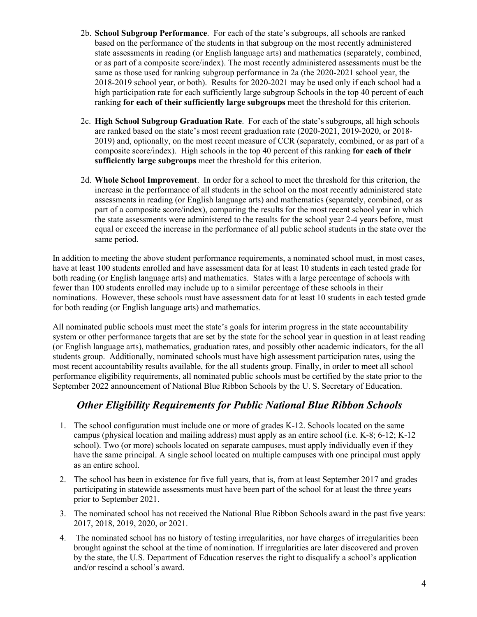- 2b. **School Subgroup Performance**. For each of the state's subgroups, all schools are ranked based on the performance of the students in that subgroup on the most recently administered state assessments in reading (or English language arts) and mathematics (separately, combined, or as part of a composite score/index). The most recently administered assessments must be the same as those used for ranking subgroup performance in 2a (the 2020-2021 school year, the 2018-2019 school year, or both). Results for 2020-2021 may be used only if each school had a high participation rate for each sufficiently large subgroup Schools in the top 40 percent of each ranking **for each of their sufficiently large subgroups** meet the threshold for this criterion.
- 2c. **High School Subgroup Graduation Rate**. For each of the state's subgroups, all high schools are ranked based on the state's most recent graduation rate (2020-2021, 2019-2020, or 2018- 2019) and, optionally, on the most recent measure of CCR (separately, combined, or as part of a composite score/index). High schools in the top 40 percent of this ranking **for each of their sufficiently large subgroups** meet the threshold for this criterion.
- 2d. **Whole School Improvement**. In order for a school to meet the threshold for this criterion, the increase in the performance of all students in the school on the most recently administered state assessments in reading (or English language arts) and mathematics (separately, combined, or as part of a composite score/index), comparing the results for the most recent school year in which the state assessments were administered to the results for the school year 2-4 years before, must equal or exceed the increase in the performance of all public school students in the state over the same period.

In addition to meeting the above student performance requirements, a nominated school must, in most cases, have at least 100 students enrolled and have assessment data for at least 10 students in each tested grade for both reading (or English language arts) and mathematics. States with a large percentage of schools with fewer than 100 students enrolled may include up to a similar percentage of these schools in their nominations. However, these schools must have assessment data for at least 10 students in each tested grade for both reading (or English language arts) and mathematics.

All nominated public schools must meet the state's goals for interim progress in the state accountability system or other performance targets that are set by the state for the school year in question in at least reading (or English language arts), mathematics, graduation rates, and possibly other academic indicators, for the all students group. Additionally, nominated schools must have high assessment participation rates, using the most recent accountability results available, for the all students group. Finally, in order to meet all school performance eligibility requirements, all nominated public schools must be certified by the state prior to the September 2022 announcement of National Blue Ribbon Schools by the U. S. Secretary of Education.

# *Other Eligibility Requirements for Public National Blue Ribbon Schools*

- 1. The school configuration must include one or more of grades K-12. Schools located on the same campus (physical location and mailing address) must apply as an entire school (i.e. K-8; 6-12; K-12 school). Two (or more) schools located on separate campuses, must apply individually even if they have the same principal. A single school located on multiple campuses with one principal must apply as an entire school.
- 2. The school has been in existence for five full years, that is, from at least September 2017 and grades participating in statewide assessments must have been part of the school for at least the three years prior to September 2021.
- 3. The nominated school has not received the National Blue Ribbon Schools award in the past five years: 2017, 2018, 2019, 2020, or 2021.
- 4. The nominated school has no history of testing irregularities, nor have charges of irregularities been brought against the school at the time of nomination. If irregularities are later discovered and proven by the state, the U.S. Department of Education reserves the right to disqualify a school's application and/or rescind a school's award.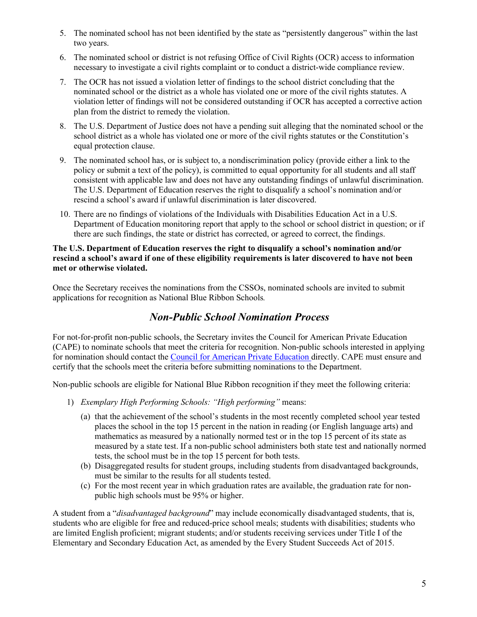- 5. The nominated school has not been identified by the state as "persistently dangerous" within the last two years.
- 6. The nominated school or district is not refusing Office of Civil Rights (OCR) access to information necessary to investigate a civil rights complaint or to conduct a district-wide compliance review.
- 7. The OCR has not issued a violation letter of findings to the school district concluding that the nominated school or the district as a whole has violated one or more of the civil rights statutes. A violation letter of findings will not be considered outstanding if OCR has accepted a corrective action plan from the district to remedy the violation.
- 8. The U.S. Department of Justice does not have a pending suit alleging that the nominated school or the school district as a whole has violated one or more of the civil rights statutes or the Constitution's equal protection clause.
- 9. The nominated school has, or is subject to, a nondiscrimination policy (provide either a link to the policy or submit a text of the policy), is committed to equal opportunity for all students and all staff consistent with applicable law and does not have any outstanding findings of unlawful discrimination. The U.S. Department of Education reserves the right to disqualify a school's nomination and/or rescind a school's award if unlawful discrimination is later discovered.
- 10. There are no findings of violations of the Individuals with Disabilities Education Act in a U.S. Department of Education monitoring report that apply to the school or school district in question; or if there are such findings, the state or district has corrected, or agreed to correct, the findings.

#### **The U.S. Department of Education reserves the right to disqualify a school's nomination and/or rescind a school's award if one of these eligibility requirements is later discovered to have not been met or otherwise violated.**

Once the Secretary receives the nominations from the CSSOs, nominated schools are invited to submit applications for recognition as National Blue Ribbon Schools*.* 

# *Non-Public School Nomination Process*

For not-for-profit non-public schools, the Secretary invites the Council for American Private Education (CAPE) to nominate schools that meet the criteria for recognition. Non-public schools interested in applying for nomination should contact the [Council for American Private Education](http://www.capenet.org/brs.html) directly. CAPE must ensure and certify that the schools meet the criteria before submitting nominations to the Department.

Non-public schools are eligible for National Blue Ribbon recognition if they meet the following criteria:

- 1) *Exemplary High Performing Schools: "High performing"* means:
	- (a) that the achievement of the school's students in the most recently completed school year tested places the school in the top 15 percent in the nation in reading (or English language arts) and mathematics as measured by a nationally normed test or in the top 15 percent of its state as measured by a state test. If a non-public school administers both state test and nationally normed tests, the school must be in the top 15 percent for both tests.
	- (b) Disaggregated results for student groups, including students from disadvantaged backgrounds, must be similar to the results for all students tested.
	- (c) For the most recent year in which graduation rates are available, the graduation rate for nonpublic high schools must be 95% or higher.

A student from a "*disadvantaged background*" may include economically disadvantaged students, that is, students who are eligible for free and reduced-price school meals; students with disabilities; students who are limited English proficient; migrant students; and/or students receiving services under Title I of the Elementary and Secondary Education Act, as amended by the Every Student Succeeds Act of 2015.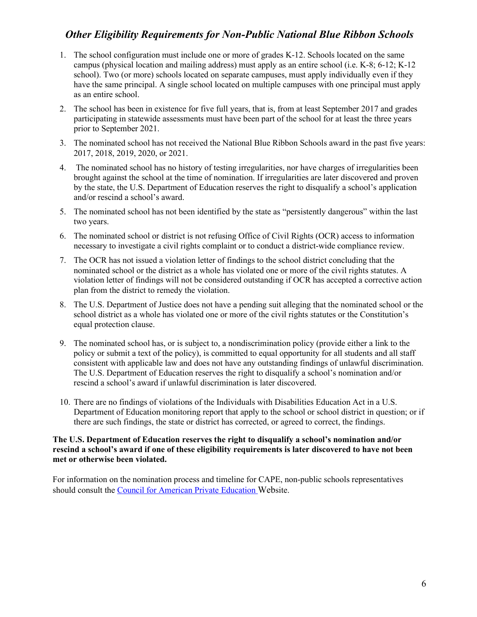# *Other Eligibility Requirements for Non-Public National Blue Ribbon Schools*

- 1. The school configuration must include one or more of grades K-12. Schools located on the same campus (physical location and mailing address) must apply as an entire school (i.e. K-8; 6-12; K-12 school). Two (or more) schools located on separate campuses, must apply individually even if they have the same principal. A single school located on multiple campuses with one principal must apply as an entire school.
- 2. The school has been in existence for five full years, that is, from at least September 2017 and grades participating in statewide assessments must have been part of the school for at least the three years prior to September 2021.
- 3. The nominated school has not received the National Blue Ribbon Schools award in the past five years: 2017, 2018, 2019, 2020, or 2021.
- 4. The nominated school has no history of testing irregularities, nor have charges of irregularities been brought against the school at the time of nomination. If irregularities are later discovered and proven by the state, the U.S. Department of Education reserves the right to disqualify a school's application and/or rescind a school's award.
- 5. The nominated school has not been identified by the state as "persistently dangerous" within the last two years.
- 6. The nominated school or district is not refusing Office of Civil Rights (OCR) access to information necessary to investigate a civil rights complaint or to conduct a district-wide compliance review.
- 7. The OCR has not issued a violation letter of findings to the school district concluding that the nominated school or the district as a whole has violated one or more of the civil rights statutes. A violation letter of findings will not be considered outstanding if OCR has accepted a corrective action plan from the district to remedy the violation.
- 8. The U.S. Department of Justice does not have a pending suit alleging that the nominated school or the school district as a whole has violated one or more of the civil rights statutes or the Constitution's equal protection clause.
- 9. The nominated school has, or is subject to, a nondiscrimination policy (provide either a link to the policy or submit a text of the policy), is committed to equal opportunity for all students and all staff consistent with applicable law and does not have any outstanding findings of unlawful discrimination. The U.S. Department of Education reserves the right to disqualify a school's nomination and/or rescind a school's award if unlawful discrimination is later discovered.
- 10. There are no findings of violations of the Individuals with Disabilities Education Act in a U.S. Department of Education monitoring report that apply to the school or school district in question; or if there are such findings, the state or district has corrected, or agreed to correct, the findings.

#### **The U.S. Department of Education reserves the right to disqualify a school's nomination and/or rescind a school's award if one of these eligibility requirements is later discovered to have not been met or otherwise been violated.**

For information on the nomination process and timeline for CAPE, non-public schools representatives should consult the [Council for American Private Education](http://www.capenet.org/brs.html) Website.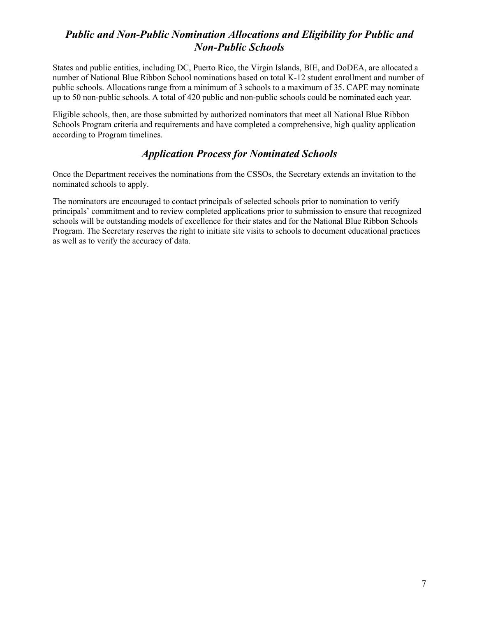# *Public and Non-Public Nomination Allocations and Eligibility for Public and Non-Public Schools*

States and public entities, including DC, Puerto Rico, the Virgin Islands, BIE, and DoDEA, are allocated a number of National Blue Ribbon School nominations based on total K-12 student enrollment and number of public schools. Allocations range from a minimum of 3 schools to a maximum of 35. CAPE may nominate up to 50 non-public schools. A total of 420 public and non-public schools could be nominated each year.

Eligible schools, then, are those submitted by authorized nominators that meet all National Blue Ribbon Schools Program criteria and requirements and have completed a comprehensive, high quality application according to Program timelines.

# *Application Process for Nominated Schools*

Once the Department receives the nominations from the CSSOs, the Secretary extends an invitation to the nominated schools to apply.

The nominators are encouraged to contact principals of selected schools prior to nomination to verify principals' commitment and to review completed applications prior to submission to ensure that recognized schools will be outstanding models of excellence for their states and for the National Blue Ribbon Schools Program. The Secretary reserves the right to initiate site visits to schools to document educational practices as well as to verify the accuracy of data.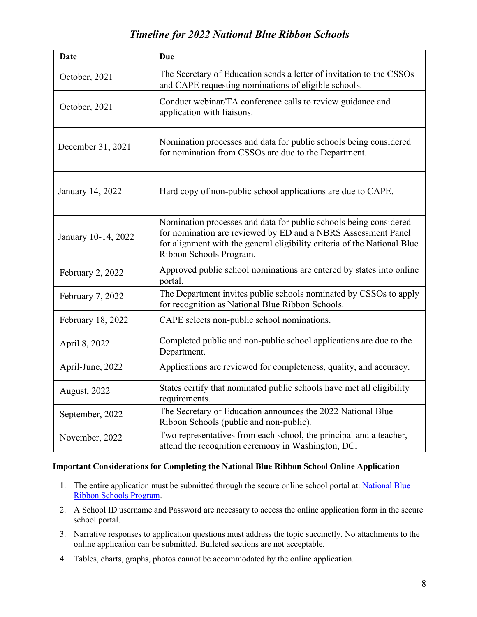# *Timeline for 2022 National Blue Ribbon Schools*

| <b>Date</b>         | <b>Due</b>                                                                                                                                                                                                                                |
|---------------------|-------------------------------------------------------------------------------------------------------------------------------------------------------------------------------------------------------------------------------------------|
| October, 2021       | The Secretary of Education sends a letter of invitation to the CSSOs<br>and CAPE requesting nominations of eligible schools.                                                                                                              |
| October, 2021       | Conduct webinar/TA conference calls to review guidance and<br>application with liaisons.                                                                                                                                                  |
| December 31, 2021   | Nomination processes and data for public schools being considered<br>for nomination from CSSOs are due to the Department.                                                                                                                 |
| January 14, 2022    | Hard copy of non-public school applications are due to CAPE.                                                                                                                                                                              |
| January 10-14, 2022 | Nomination processes and data for public schools being considered<br>for nomination are reviewed by ED and a NBRS Assessment Panel<br>for alignment with the general eligibility criteria of the National Blue<br>Ribbon Schools Program. |
| February 2, 2022    | Approved public school nominations are entered by states into online<br>portal.                                                                                                                                                           |
| February 7, 2022    | The Department invites public schools nominated by CSSOs to apply<br>for recognition as National Blue Ribbon Schools.                                                                                                                     |
| February 18, 2022   | CAPE selects non-public school nominations.                                                                                                                                                                                               |
| April 8, 2022       | Completed public and non-public school applications are due to the<br>Department.                                                                                                                                                         |
| April-June, 2022    | Applications are reviewed for completeness, quality, and accuracy.                                                                                                                                                                        |
| August, 2022        | States certify that nominated public schools have met all eligibility<br>requirements.                                                                                                                                                    |
| September, 2022     | The Secretary of Education announces the 2022 National Blue<br>Ribbon Schools (public and non-public).                                                                                                                                    |
| November, 2022      | Two representatives from each school, the principal and a teacher,<br>attend the recognition ceremony in Washington, DC.                                                                                                                  |

#### **Important Considerations for Completing the National Blue Ribbon School Online Application**

- 1. The entire application must be submitted through the secure online school portal at: National Blue [Ribbon Schools Program.](https://portal.nationalblueribbonschools.ed.gov/)
- 2. A School ID username and Password are necessary to access the online application form in the secure school portal.
- 3. Narrative responses to application questions must address the topic succinctly. No attachments to the online application can be submitted. Bulleted sections are not acceptable.
- 4. Tables, charts, graphs, photos cannot be accommodated by the online application.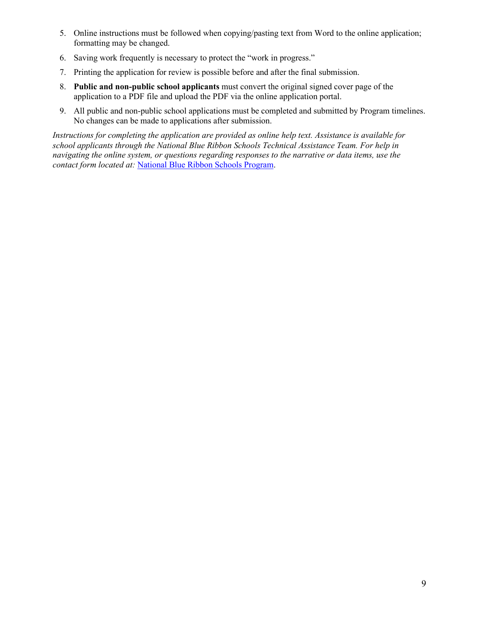- 5. Online instructions must be followed when copying/pasting text from Word to the online application; formatting may be changed.
- 6. Saving work frequently is necessary to protect the "work in progress."
- 7. Printing the application for review is possible before and after the final submission.
- 8. **Public and non-public school applicants** must convert the original signed cover page of the application to a PDF file and upload the PDF via the online application portal.
- 9. All public and non-public school applications must be completed and submitted by Program timelines. No changes can be made to applications after submission.

*Instructions for completing the application are provided as online help text. Assistance is available for school applicants through the National Blue Ribbon Schools Technical Assistance Team. For help in navigating the online system, or questions regarding responses to the narrative or data items, use the contact form located at:* [National Blue Ribbon Schools Program.](https://portal.nationalblueribbonschools.ed.gov/)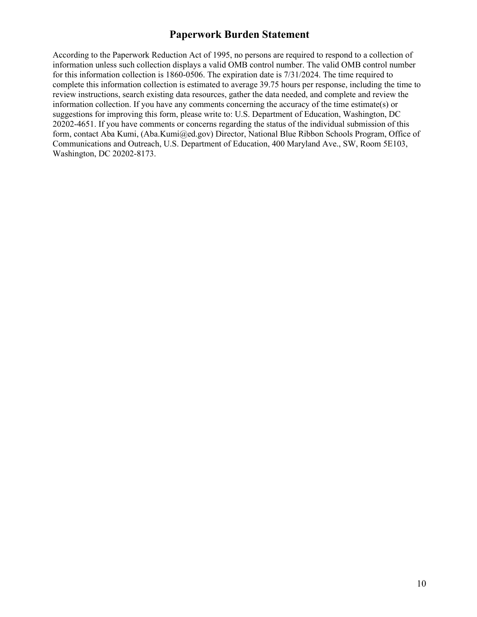# **Paperwork Burden Statement**

According to the Paperwork Reduction Act of 1995, no persons are required to respond to a collection of information unless such collection displays a valid OMB control number. The valid OMB control number for this information collection is 1860-0506. The expiration date is 7/31/2024. The time required to complete this information collection is estimated to average 39.75 hours per response, including the time to review instructions, search existing data resources, gather the data needed, and complete and review the information collection. If you have any comments concerning the accuracy of the time estimate(s) or suggestions for improving this form, please write to: U.S. Department of Education, Washington, DC 20202-4651. If you have comments or concerns regarding the status of the individual submission of this form, contact Aba Kumi, (Aba.Kumi@ed.gov) Director, National Blue Ribbon Schools Program, Office of Communications and Outreach, U.S. Department of Education, 400 Maryland Ave., SW, Room 5E103, Washington, DC 20202-8173.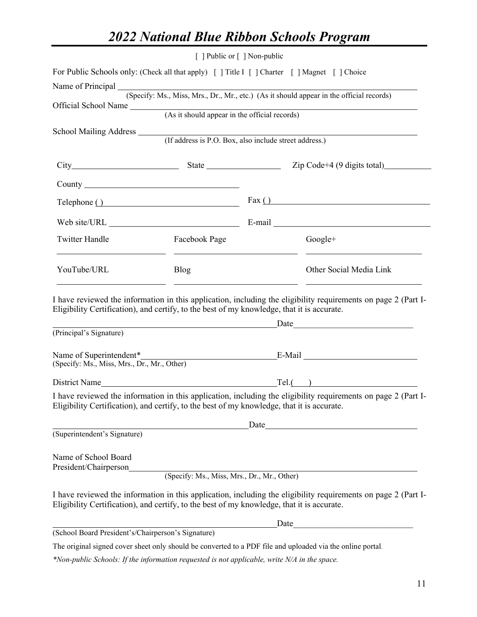# *2022 National Blue Ribbon Schools Program*

|                                                    |                                                                                                                                                               | [ ] Public or [ ] Non-public |                                                                                                                                                                                                                                |
|----------------------------------------------------|---------------------------------------------------------------------------------------------------------------------------------------------------------------|------------------------------|--------------------------------------------------------------------------------------------------------------------------------------------------------------------------------------------------------------------------------|
|                                                    | For Public Schools only: (Check all that apply) [ ] Title I [ ] Charter [ ] Magnet [ ] Choice                                                                 |                              |                                                                                                                                                                                                                                |
|                                                    |                                                                                                                                                               |                              | Name of Principal (Specify: Ms., Miss, Mrs., Dr., Mr., etc.) (As it should appear in the official records)                                                                                                                     |
|                                                    |                                                                                                                                                               |                              |                                                                                                                                                                                                                                |
|                                                    |                                                                                                                                                               |                              | Official School Name (As it should appear in the official records)                                                                                                                                                             |
|                                                    | School Mailing Address (If address is P.O. Box, also include street address.)                                                                                 |                              |                                                                                                                                                                                                                                |
|                                                    |                                                                                                                                                               |                              |                                                                                                                                                                                                                                |
|                                                    |                                                                                                                                                               |                              |                                                                                                                                                                                                                                |
|                                                    |                                                                                                                                                               |                              |                                                                                                                                                                                                                                |
|                                                    | Telephone ()                                                                                                                                                  |                              | $\text{Fax}$ ( )                                                                                                                                                                                                               |
|                                                    |                                                                                                                                                               |                              |                                                                                                                                                                                                                                |
| <b>Twitter Handle</b>                              | Facebook Page<br><u> 1990 - Johann Barbara, martin amerikan basar da</u>                                                                                      |                              | $Google+$<br><u> 1989 - Andrea Stadt Britain, amerikansk politiker (</u>                                                                                                                                                       |
| YouTube/URL                                        | <b>Blog</b>                                                                                                                                                   |                              | Other Social Media Link                                                                                                                                                                                                        |
| (Principal's Signature)                            | Eligibility Certification), and certify, to the best of my knowledge, that it is accurate.<br><u> 1980 - Johann Barn, mars an t-Amerikaansk kommunister (</u> |                              |                                                                                                                                                                                                                                |
| (Specify: Ms., Miss, Mrs., Dr., Mr., Other)        |                                                                                                                                                               |                              |                                                                                                                                                                                                                                |
|                                                    |                                                                                                                                                               |                              | District Name lexity and the contract of the contract of the contract of the contract of the contract of the contract of the contract of the contract of the contract of the contract of the contract of the contract of the c |
|                                                    | Eligibility Certification), and certify, to the best of my knowledge, that it is accurate.                                                                    |                              | I have reviewed the information in this application, including the eligibility requirements on page 2 (Part I-                                                                                                                 |
|                                                    | <u> 1980 - Johann Barbara, martin a</u>                                                                                                                       |                              |                                                                                                                                                                                                                                |
| (Superintendent's Signature)                       |                                                                                                                                                               |                              |                                                                                                                                                                                                                                |
| Name of School Board<br>President/Chairperson      |                                                                                                                                                               |                              |                                                                                                                                                                                                                                |
|                                                    | (Specify: Ms., Miss, Mrs., Dr., Mr., Other)                                                                                                                   |                              |                                                                                                                                                                                                                                |
|                                                    | Eligibility Certification), and certify, to the best of my knowledge, that it is accurate.                                                                    |                              | I have reviewed the information in this application, including the eligibility requirements on page 2 (Part I-                                                                                                                 |
|                                                    |                                                                                                                                                               |                              | Date                                                                                                                                                                                                                           |
| (School Board President's/Chairperson's Signature) |                                                                                                                                                               |                              |                                                                                                                                                                                                                                |
|                                                    |                                                                                                                                                               |                              | The original signed cover sheet only should be converted to a PDF file and uploaded via the online portal.                                                                                                                     |

*\*Non-public Schools: If the information requested is not applicable, write N/A in the space.*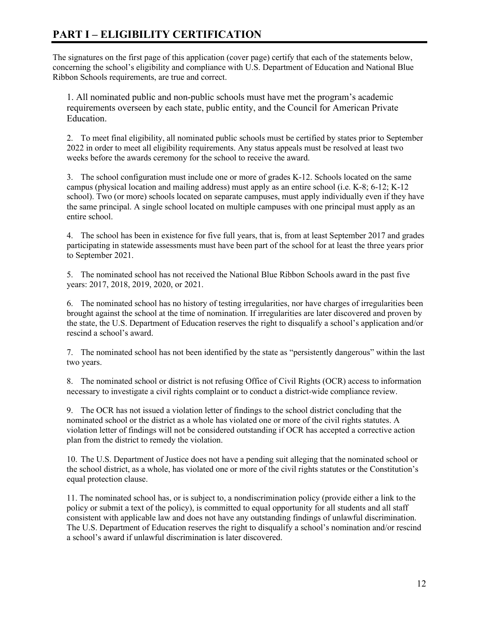# **PART I – ELIGIBILITY CERTIFICATION**

The signatures on the first page of this application (cover page) certify that each of the statements below, concerning the school's eligibility and compliance with U.S. Department of Education and National Blue Ribbon Schools requirements, are true and correct.

1. All nominated public and non-public schools must have met the program's academic requirements overseen by each state, public entity, and the Council for American Private Education.

2. To meet final eligibility, all nominated public schools must be certified by states prior to September 2022 in order to meet all eligibility requirements. Any status appeals must be resolved at least two weeks before the awards ceremony for the school to receive the award.

3. The school configuration must include one or more of grades K-12. Schools located on the same campus (physical location and mailing address) must apply as an entire school (i.e. K-8; 6-12; K-12 school). Two (or more) schools located on separate campuses, must apply individually even if they have the same principal. A single school located on multiple campuses with one principal must apply as an entire school.

4. The school has been in existence for five full years, that is, from at least September 2017 and grades participating in statewide assessments must have been part of the school for at least the three years prior to September 2021.

5. The nominated school has not received the National Blue Ribbon Schools award in the past five years: 2017, 2018, 2019, 2020, or 2021.

6. The nominated school has no history of testing irregularities, nor have charges of irregularities been brought against the school at the time of nomination. If irregularities are later discovered and proven by the state, the U.S. Department of Education reserves the right to disqualify a school's application and/or rescind a school's award.

7. The nominated school has not been identified by the state as "persistently dangerous" within the last two years.

8. The nominated school or district is not refusing Office of Civil Rights (OCR) access to information necessary to investigate a civil rights complaint or to conduct a district-wide compliance review.

9. The OCR has not issued a violation letter of findings to the school district concluding that the nominated school or the district as a whole has violated one or more of the civil rights statutes. A violation letter of findings will not be considered outstanding if OCR has accepted a corrective action plan from the district to remedy the violation.

10. The U.S. Department of Justice does not have a pending suit alleging that the nominated school or the school district, as a whole, has violated one or more of the civil rights statutes or the Constitution's equal protection clause.

11. The nominated school has, or is subject to, a nondiscrimination policy (provide either a link to the policy or submit a text of the policy), is committed to equal opportunity for all students and all staff consistent with applicable law and does not have any outstanding findings of unlawful discrimination. The U.S. Department of Education reserves the right to disqualify a school's nomination and/or rescind a school's award if unlawful discrimination is later discovered.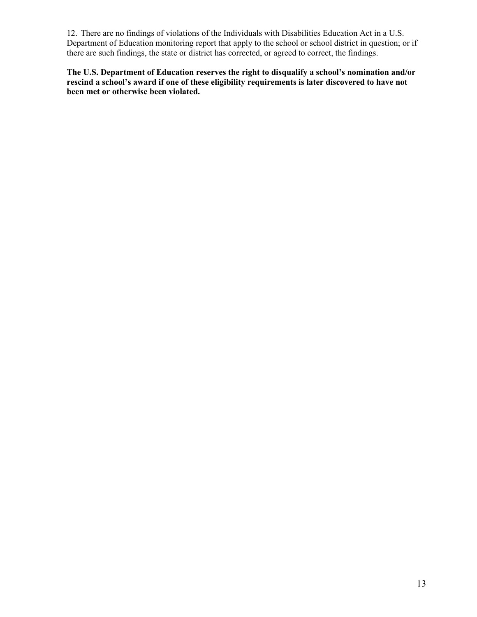12. There are no findings of violations of the Individuals with Disabilities Education Act in a U.S. Department of Education monitoring report that apply to the school or school district in question; or if there are such findings, the state or district has corrected, or agreed to correct, the findings.

**The U.S. Department of Education reserves the right to disqualify a school's nomination and/or rescind a school's award if one of these eligibility requirements is later discovered to have not been met or otherwise been violated.**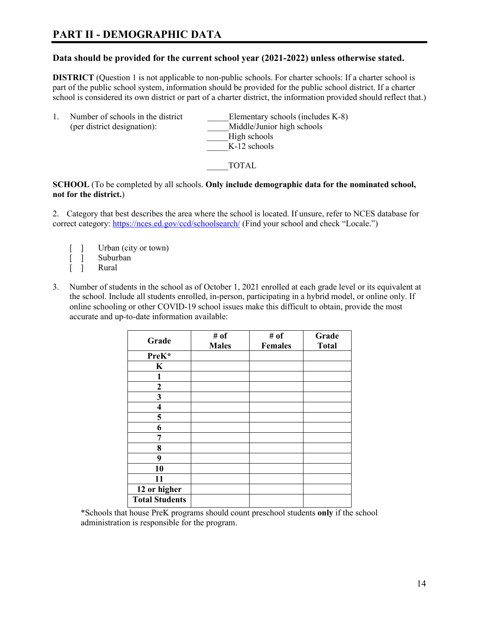# **PART II - DEMOGRAPHIC DATA**

#### **Data should be provided for the current school year (2021-2022) unless otherwise stated.**

**DISTRICT** (Question 1 is not applicable to non-public schools. For charter schools: If a charter school is part of the public school system, information should be provided for the public school district. If a charter school is considered its own district or part of a charter district, the information provided should reflect that.)

| Middle/Junior high schools<br>(per district designation):<br>High schools<br>$K-12$ schools |  | Number of schools in the district | Elementary schools (includes K-8) |
|---------------------------------------------------------------------------------------------|--|-----------------------------------|-----------------------------------|
|---------------------------------------------------------------------------------------------|--|-----------------------------------|-----------------------------------|

\_\_\_\_\_TOTAL

**SCHOOL** (To be completed by all schools. **Only include demographic data for the nominated school, not for the district.**)

2. Category that best describes the area where the school is located. If unsure, refer to NCES database for correct category:<https://nces.ed.gov/ccd/schoolsearch/> (Find your school and check "Locale.")

- [ ] Urban (city or town)
- [ ] Suburban
- Rural
- 3. Number of students in the school as of October 1, 2021 enrolled at each grade level or its equivalent at the school. Include all students enrolled, in-person, participating in a hybrid model, or online only. If online schooling or other COVID-19 school issues make this difficult to obtain, provide the most accurate and up-to-date information available:

| Grade                   | # of<br><b>Males</b> | # of<br><b>Females</b> | Grade<br><b>Total</b> |
|-------------------------|----------------------|------------------------|-----------------------|
| PreK*                   |                      |                        |                       |
| K                       |                      |                        |                       |
| $\mathbf{1}$            |                      |                        |                       |
| $\mathbf{2}$            |                      |                        |                       |
| 3                       |                      |                        |                       |
| $\overline{\mathbf{4}}$ |                      |                        |                       |
| 5                       |                      |                        |                       |
| 6                       |                      |                        |                       |
| 7                       |                      |                        |                       |
| 8                       |                      |                        |                       |
| 9                       |                      |                        |                       |
| 10                      |                      |                        |                       |
| 11                      |                      |                        |                       |
| 12 or higher            |                      |                        |                       |
| <b>Total Students</b>   |                      |                        |                       |

\*Schools that house PreK programs should count preschool students **only** if the school administration is responsible for the program.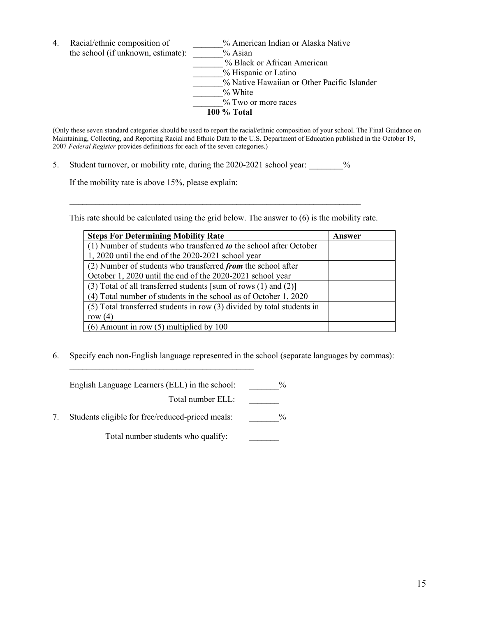| 4. | Racial/ethnic composition of       | % American Indian or Alaska Native          |
|----|------------------------------------|---------------------------------------------|
|    | the school (if unknown, estimate): | $%$ Asian                                   |
|    |                                    | % Black or African American                 |
|    |                                    | % Hispanic or Latino                        |
|    |                                    | % Native Hawaiian or Other Pacific Islander |
|    |                                    | $\%$ White                                  |
|    |                                    | % Two or more races                         |
|    |                                    | 100 % Total                                 |
|    |                                    |                                             |

(Only these seven standard categories should be used to report the racial/ethnic composition of your school. The Final Guidance on Maintaining, Collecting, and Reporting Racial and Ethnic Data to the U.S. Department of Education published in the October 19, 2007 *Federal Register* provides definitions for each of the seven categories.)

5. Student turnover, or mobility rate, during the 2020-2021 school year: \_\_\_\_\_\_\_ %

If the mobility rate is above 15%, please explain:

This rate should be calculated using the grid below. The answer to (6) is the mobility rate.

 $\mathcal{L}_\text{max}$  , and the contract of the contract of the contract of the contract of the contract of the contract of

| <b>Steps For Determining Mobility Rate</b>                                        | Answer |
|-----------------------------------------------------------------------------------|--------|
| (1) Number of students who transferred $\boldsymbol{to}$ the school after October |        |
| 1, 2020 until the end of the 2020-2021 school year                                |        |
| (2) Number of students who transferred from the school after                      |        |
| October 1, 2020 until the end of the 2020-2021 school year                        |        |
| $(3)$ Total of all transferred students [sum of rows $(1)$ and $(2)$ ]            |        |
| (4) Total number of students in the school as of October 1, 2020                  |        |
| (5) Total transferred students in row (3) divided by total students in            |        |
| row $(4)$                                                                         |        |
| $(6)$ Amount in row $(5)$ multiplied by 100                                       |        |

6. Specify each non-English language represented in the school (separate languages by commas):

| English Language Learners (ELL) in the school: | $\frac{0}{0}$ |
|------------------------------------------------|---------------|
| Total number $ELL$ :                           |               |

7. Students eligible for free/reduced-priced meals:  $\%$ 

 $\mathcal{L}_\text{max}$  , where  $\mathcal{L}_\text{max}$  , we are the set of the set of the set of the set of the set of the set of the set of the set of the set of the set of the set of the set of the set of the set of the set of the set of

Total number students who qualify: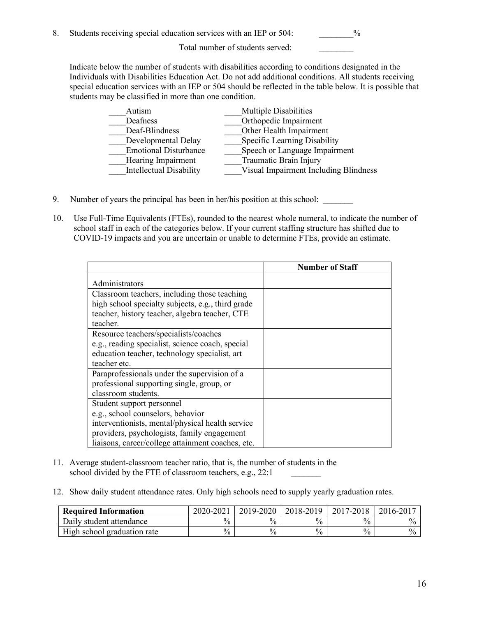8. Students receiving special education services with an IEP or 504:  $\%$ 

Total number of students served: \_\_\_\_\_\_\_\_

Indicate below the number of students with disabilities according to conditions designated in the Individuals with Disabilities Education Act. Do not add additional conditions. All students receiving special education services with an IEP or 504 should be reflected in the table below. It is possible that students may be classified in more than one condition.

| Autism                         | Multiple Disabilities                 |
|--------------------------------|---------------------------------------|
| Deafness                       | Orthopedic Impairment                 |
| Deaf-Blindness                 | Other Health Impairment               |
| Developmental Delay            | Specific Learning Disability          |
| <b>Emotional Disturbance</b>   | Speech or Language Impairment         |
| Hearing Impairment             | Traumatic Brain Injury                |
| <b>Intellectual Disability</b> | Visual Impairment Including Blindness |

- 9. Number of years the principal has been in her/his position at this school:
- 10. Use Full-Time Equivalents (FTEs), rounded to the nearest whole numeral, to indicate the number of school staff in each of the categories below. If your current staffing structure has shifted due to COVID-19 impacts and you are uncertain or unable to determine FTEs, provide an estimate.

|                                                   | <b>Number of Staff</b> |
|---------------------------------------------------|------------------------|
| Administrators                                    |                        |
| Classroom teachers, including those teaching      |                        |
| high school specialty subjects, e.g., third grade |                        |
| teacher, history teacher, algebra teacher, CTE    |                        |
| teacher.                                          |                        |
| Resource teachers/specialists/coaches             |                        |
| e.g., reading specialist, science coach, special  |                        |
| education teacher, technology specialist, art     |                        |
| teacher etc.                                      |                        |
| Paraprofessionals under the supervision of a      |                        |
| professional supporting single, group, or         |                        |
| classroom students.                               |                        |
| Student support personnel                         |                        |
| e.g., school counselors, behavior                 |                        |
| interventionists, mental/physical health service  |                        |
| providers, psychologists, family engagement       |                        |
| liaisons, career/college attainment coaches, etc. |                        |

- 11. Average student-classroom teacher ratio, that is, the number of students in the school divided by the FTE of classroom teachers, e.g., 22:1
- 12. Show daily student attendance rates. Only high schools need to supply yearly graduation rates.

| <b>Required Information</b> | 2020-202      | 2019-2020     | 2018-2019     | 2017-<br>$1 - 20$ | 20<br>$16-z$  |
|-----------------------------|---------------|---------------|---------------|-------------------|---------------|
| Daily student attendance    | $\frac{0}{0}$ | $\%$          | $\frac{0}{0}$ | $\%$              | $\frac{1}{2}$ |
| High school graduation rate | $\frac{0}{0}$ | $\frac{0}{0}$ | $\frac{0}{0}$ | $\frac{0}{0}$     | $\frac{0}{0}$ |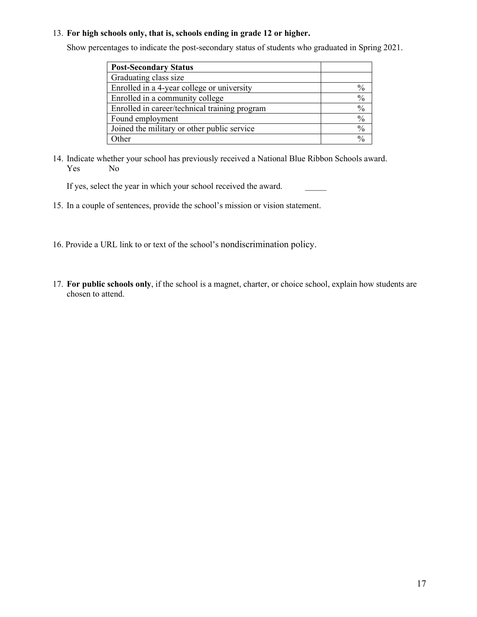#### 13. **For high schools only, that is, schools ending in grade 12 or higher.**

Show percentages to indicate the post-secondary status of students who graduated in Spring 2021.

| <b>Post-Secondary Status</b>                  |               |
|-----------------------------------------------|---------------|
| Graduating class size                         |               |
| Enrolled in a 4-year college or university    | $\%$          |
| Enrolled in a community college               | $\frac{0}{0}$ |
| Enrolled in career/technical training program | $\frac{0}{0}$ |
| Found employment                              | $\frac{0}{0}$ |
| Joined the military or other public service   | $\frac{0}{0}$ |
| Other                                         | $\frac{0}{0}$ |

14. Indicate whether your school has previously received a National Blue Ribbon Schools award. Yes No

If yes, select the year in which your school received the award.

- 15. In a couple of sentences, provide the school's mission or vision statement.
- 16. Provide a URL link to or text of the school's nondiscrimination policy.
- 17. **For public schools only**, if the school is a magnet, charter, or choice school, explain how students are chosen to attend.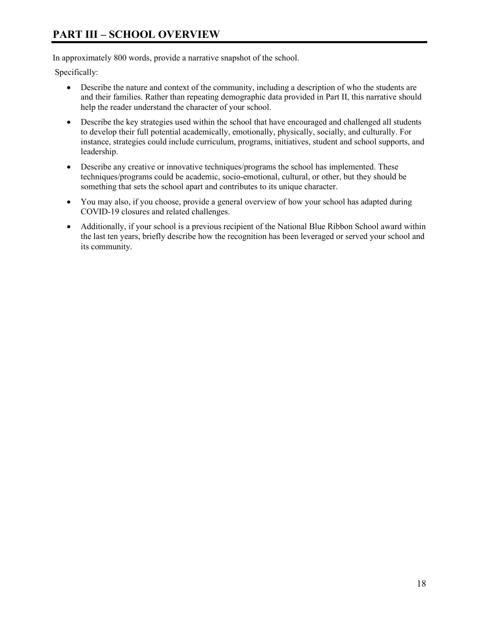# **PART III – SCHOOL OVERVIEW**

In approximately 800 words, provide a narrative snapshot of the school.

Specifically:

- Describe the nature and context of the community, including a description of who the students are and their families. Rather than repeating demographic data provided in Part II, this narrative should help the reader understand the character of your school.
- Describe the key strategies used within the school that have encouraged and challenged all students to develop their full potential academically, emotionally, physically, socially, and culturally. For instance, strategies could include curriculum, programs, initiatives, student and school supports, and leadership.
- Describe any creative or innovative techniques/programs the school has implemented. These techniques/programs could be academic, socio-emotional, cultural, or other, but they should be something that sets the school apart and contributes to its unique character.
- You may also, if you choose, provide a general overview of how your school has adapted during COVID-19 closures and related challenges.
- Additionally, if your school is a previous recipient of the National Blue Ribbon School award within the last ten years, briefly describe how the recognition has been leveraged or served your school and its community.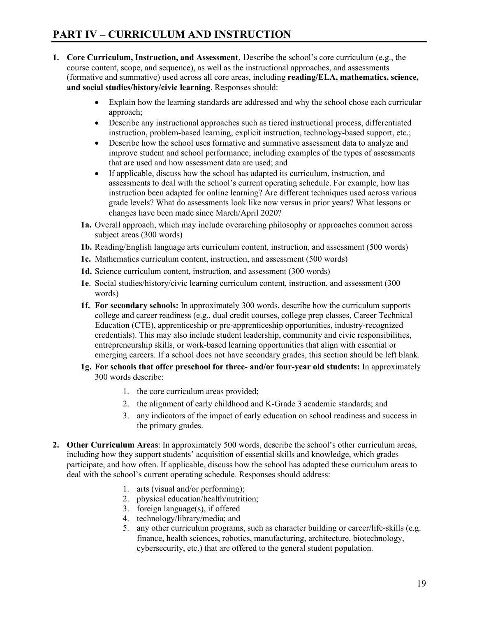- **1. Core Curriculum, Instruction, and Assessment**. Describe the school's core curriculum (e.g., the course content, scope, and sequence), as well as the instructional approaches, and assessments (formative and summative) used across all core areas, including **reading/ELA, mathematics, science, and social studies/history/civic learning**. Responses should:
	- Explain how the learning standards are addressed and why the school chose each curricular approach;
	- Describe any instructional approaches such as tiered instructional process, differentiated instruction, problem-based learning, explicit instruction, technology-based support, etc.;
	- Describe how the school uses formative and summative assessment data to analyze and improve student and school performance, including examples of the types of assessments that are used and how assessment data are used; and
	- If applicable, discuss how the school has adapted its curriculum, instruction, and assessments to deal with the school's current operating schedule. For example, how has instruction been adapted for online learning? Are different techniques used across various grade levels? What do assessments look like now versus in prior years? What lessons or changes have been made since March/April 2020?
	- **1a.** Overall approach, which may include overarching philosophy or approaches common across subject areas (300 words)
	- **1b.** Reading/English language arts curriculum content, instruction, and assessment (500 words)
	- **1c.** Mathematics curriculum content, instruction, and assessment (500 words)
	- **1d.** Science curriculum content, instruction, and assessment (300 words)
	- **1e**. Social studies/history/civic learning curriculum content, instruction, and assessment (300 words)
	- **1f. For secondary schools:** In approximately 300 words, describe how the curriculum supports college and career readiness (e.g., dual credit courses, college prep classes, Career Technical Education (CTE), apprenticeship or pre-apprenticeship opportunities, industry-recognized credentials). This may also include student leadership, community and civic responsibilities, entrepreneurship skills, or work-based learning opportunities that align with essential or emerging careers. If a school does not have secondary grades, this section should be left blank.
	- **1g. For schools that offer preschool for three- and/or four-year old students:** In approximately 300 words describe:
		- 1. the core curriculum areas provided;
		- 2. the alignment of early childhood and K-Grade 3 academic standards; and
		- 3. any indicators of the impact of early education on school readiness and success in the primary grades.
- **2. Other Curriculum Areas**: In approximately 500 words, describe the school's other curriculum areas, including how they support students' acquisition of essential skills and knowledge, which grades participate, and how often. If applicable, discuss how the school has adapted these curriculum areas to deal with the school's current operating schedule. Responses should address:
	- 1. arts (visual and/or performing);
	- 2. physical education/health/nutrition;
	- 3. foreign language(s), if offered
	- 4. technology/library/media; and
	- 5. any other curriculum programs, such as character building or career/life-skills (e.g. finance, health sciences, robotics, manufacturing, architecture, biotechnology, cybersecurity, etc.) that are offered to the general student population.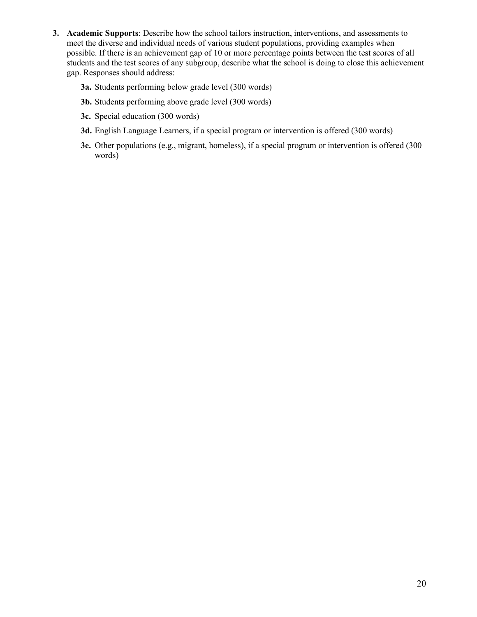- **3. Academic Supports**: Describe how the school tailors instruction, interventions, and assessments to meet the diverse and individual needs of various student populations, providing examples when possible. If there is an achievement gap of 10 or more percentage points between the test scores of all students and the test scores of any subgroup, describe what the school is doing to close this achievement gap. Responses should address:
	- **3a.** Students performing below grade level (300 words)
	- **3b.** Students performing above grade level (300 words)
	- **3c.** Special education (300 words)
	- **3d.** English Language Learners, if a special program or intervention is offered (300 words)
	- **3e.** Other populations (e.g., migrant, homeless), if a special program or intervention is offered (300 words)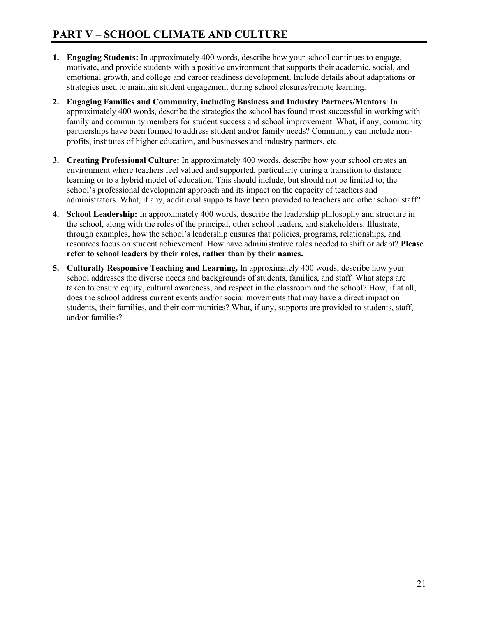- **1. Engaging Students:** In approximately 400 words, describe how your school continues to engage, motivate**,** and provide students with a positive environment that supports their academic, social, and emotional growth, and college and career readiness development. Include details about adaptations or strategies used to maintain student engagement during school closures/remote learning.
- **2. Engaging Families and Community, including Business and Industry Partners/Mentors**: In approximately 400 words, describe the strategies the school has found most successful in working with family and community members for student success and school improvement. What, if any, community partnerships have been formed to address student and/or family needs? Community can include nonprofits, institutes of higher education, and businesses and industry partners, etc.
- **3. Creating Professional Culture:** In approximately 400 words, describe how your school creates an environment where teachers feel valued and supported, particularly during a transition to distance learning or to a hybrid model of education. This should include, but should not be limited to, the school's professional development approach and its impact on the capacity of teachers and administrators. What, if any, additional supports have been provided to teachers and other school staff?
- **4. School Leadership:** In approximately 400 words, describe the leadership philosophy and structure in the school, along with the roles of the principal, other school leaders, and stakeholders. Illustrate, through examples, how the school's leadership ensures that policies, programs, relationships, and resources focus on student achievement. How have administrative roles needed to shift or adapt? **Please refer to school leaders by their roles, rather than by their names.**
- **5. Culturally Responsive Teaching and Learning.** In approximately 400 words, describe how your school addresses the diverse needs and backgrounds of students, families, and staff. What steps are taken to ensure equity, cultural awareness, and respect in the classroom and the school? How, if at all, does the school address current events and/or social movements that may have a direct impact on students, their families, and their communities? What, if any, supports are provided to students, staff, and/or families?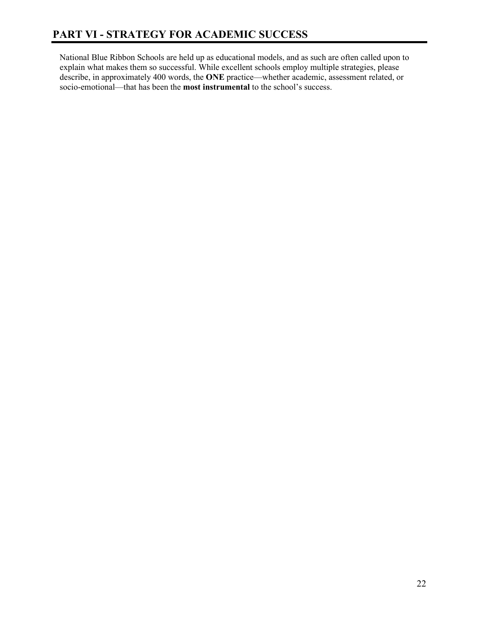National Blue Ribbon Schools are held up as educational models, and as such are often called upon to explain what makes them so successful. While excellent schools employ multiple strategies, please describe, in approximately 400 words, the **ONE** practice—whether academic, assessment related, or socio-emotional—that has been the **most instrumental** to the school's success.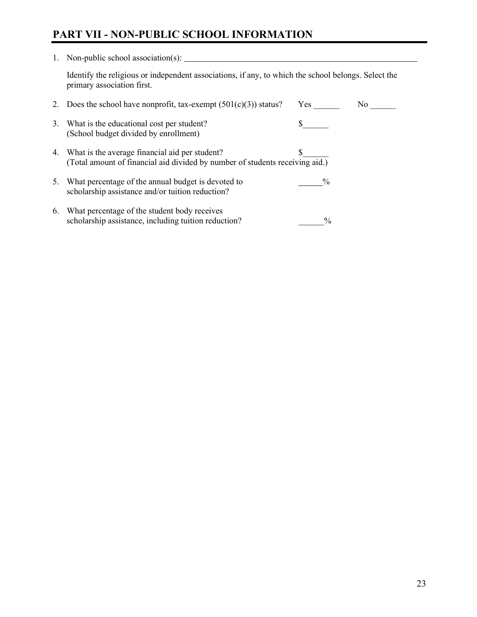# **PART VII - NON-PUBLIC SCHOOL INFORMATION**

| 1. | Non-public school association(s):                                                                                                 |               |     |  |  |  |
|----|-----------------------------------------------------------------------------------------------------------------------------------|---------------|-----|--|--|--|
|    | Identify the religious or independent associations, if any, to which the school belongs. Select the<br>primary association first. |               |     |  |  |  |
|    | 2. Does the school have nonprofit, tax-exempt $(501(c)(3))$ status?                                                               | Yes           | No. |  |  |  |
|    | 3. What is the educational cost per student?<br>(School budget divided by enrollment)                                             |               |     |  |  |  |
|    | 4. What is the average financial aid per student?<br>(Total amount of financial aid divided by number of students receiving aid.) |               |     |  |  |  |
| 5. | What percentage of the annual budget is devoted to<br>scholarship assistance and/or tuition reduction?                            | $\frac{0}{0}$ |     |  |  |  |
| 6. | What percentage of the student body receives<br>scholarship assistance, including tuition reduction?                              | $\frac{0}{0}$ |     |  |  |  |

 $\overline{\phantom{a}}$